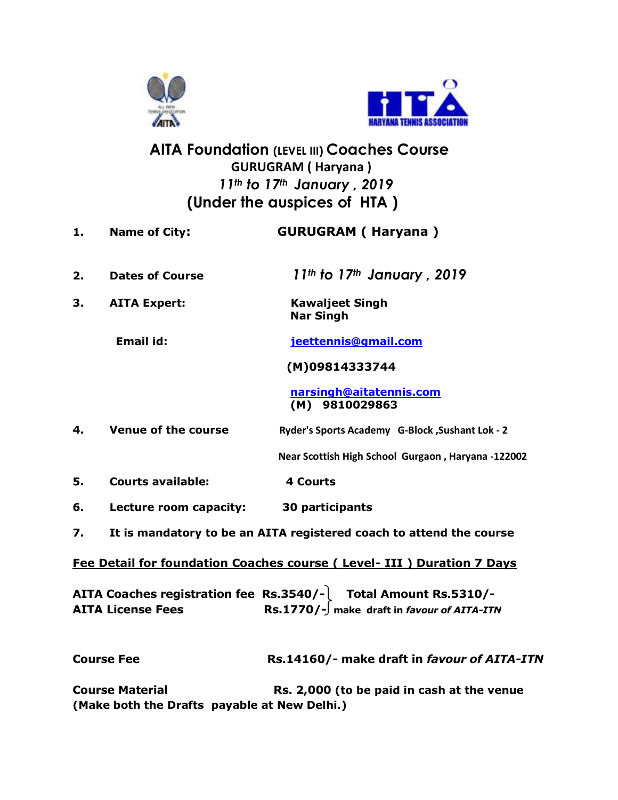



## **AITA Foundation (LEVEL III) Coaches Course** **GURUGRAM ( Haryana )**  *11th to 17th January , 2019*  **(Under the auspices of HTA )**

| 1. | <b>Name of City:</b>                                                   | <b>GURUGRAM (Haryana)</b>                                                                                                                |
|----|------------------------------------------------------------------------|------------------------------------------------------------------------------------------------------------------------------------------|
| 2. | <b>Dates of Course</b>                                                 | $11th$ to $17th$ January, 2019                                                                                                           |
| 3. | <b>AITA Expert:</b>                                                    | <b>Kawaljeet Singh</b><br><b>Nar Singh</b>                                                                                               |
|    | <b>Email id:</b>                                                       | jeettennis@gmail.com                                                                                                                     |
|    |                                                                        | (M)09814333744                                                                                                                           |
|    |                                                                        | narsingh@aitatennis.com<br>(M) 9810029863                                                                                                |
| 4. | <b>Venue of the course</b>                                             | Ryder's Sports Academy G-Block, Sushant Lok - 2                                                                                          |
|    |                                                                        | Near Scottish High School Gurgaon, Haryana -122002                                                                                       |
| 5. | <b>Courts available:</b>                                               | <b>4 Courts</b>                                                                                                                          |
| 6. | Lecture room capacity:                                                 | 30 participants                                                                                                                          |
| 7. |                                                                        | It is mandatory to be an AITA registered coach to attend the course                                                                      |
|    |                                                                        | Fee Detail for foundation Coaches course (Level- III) Duration 7 Days                                                                    |
|    | <b>AITA License Fees</b>                                               | AITA Coaches registration fee $\$ Rs.3540/- $\vert$ Total Amount Rs.5310/-<br>$\text{Rs.1770}/\text{-}$ make draft in favour of AITA-ITN |
|    | <b>Course Fee</b>                                                      | Rs.14160/- make draft in favour of AITA-ITN                                                                                              |
|    | <b>Course Material</b><br>(Make both the Drafts payable at New Delhi.) | Rs. 2,000 (to be paid in cash at the venue                                                                                               |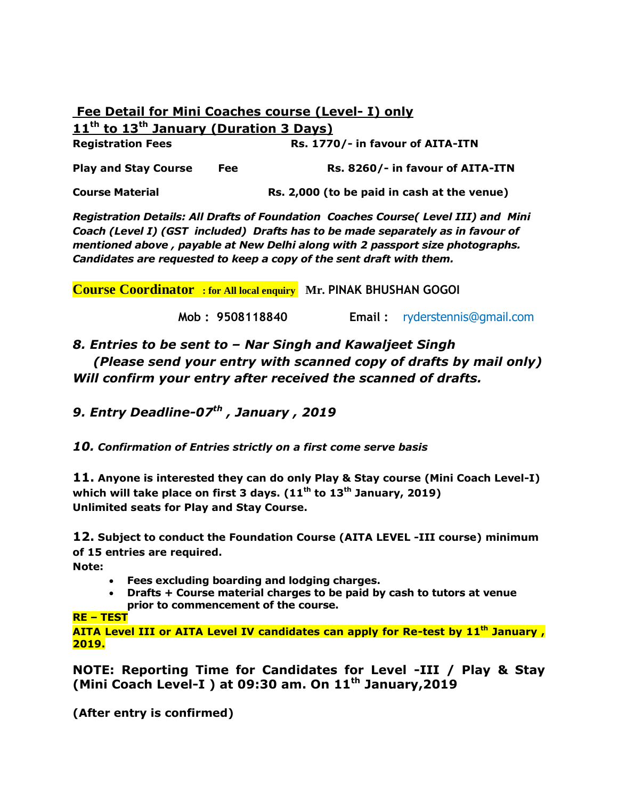|                                                                |     | <b>Fee Detail for Mini Coaches course (Level- I) only</b> |  |  |
|----------------------------------------------------------------|-----|-----------------------------------------------------------|--|--|
| 11 <sup>th</sup> to 13 <sup>th</sup> January (Duration 3 Days) |     |                                                           |  |  |
| <b>Registration Fees</b>                                       |     | Rs. 1770/- in favour of AITA-ITN                          |  |  |
| <b>Play and Stay Course</b>                                    | Fee | Rs. 8260/- in favour of AITA-ITN                          |  |  |
| <b>Course Material</b>                                         |     | Rs. 2,000 (to be paid in cash at the venue)               |  |  |

*Registration Details: All Drafts of Foundation Coaches Course( Level III) and Mini Coach (Level I) (GST included) Drafts has to be made separately as in favour of mentioned above , payable at New Delhi along with 2 passport size photographs. Candidates are requested to keep a copy of the sent draft with them.*

**Course Coordinator : for All local enquiry Mr. PINAK BHUSHAN GOGOI**

 **Mob : 9508118840 Email :** ryderstennis@gmail.com

*8. Entries to be sent to – Nar Singh and Kawaljeet Singh (Please send your entry with scanned copy of drafts by mail only) Will confirm your entry after received the scanned of drafts.*

*9. Entry Deadline-07 th , January , 2019*

*10. Confirmation of Entries strictly on a first come serve basis*

**11. Anyone is interested they can do only Play & Stay course (Mini Coach Level-I) which will take place on first 3 days. (11th to 13th January, 2019) Unlimited seats for Play and Stay Course.**

**12. Subject to conduct the Foundation Course (AITA LEVEL -III course) minimum of 15 entries are required.**

**Note:**

- **Fees excluding boarding and lodging charges.**
- **Drafts + Course material charges to be paid by cash to tutors at venue prior to commencement of the course.**

## **RE – TEST**

**AITA Level III or AITA Level IV candidates can apply for Re-test by 11th January , 2019.**

**NOTE: Reporting Time for Candidates for Level -III / Play & Stay (Mini Coach Level-I ) at 09:30 am. On 11th January,2019**

**(After entry is confirmed)**